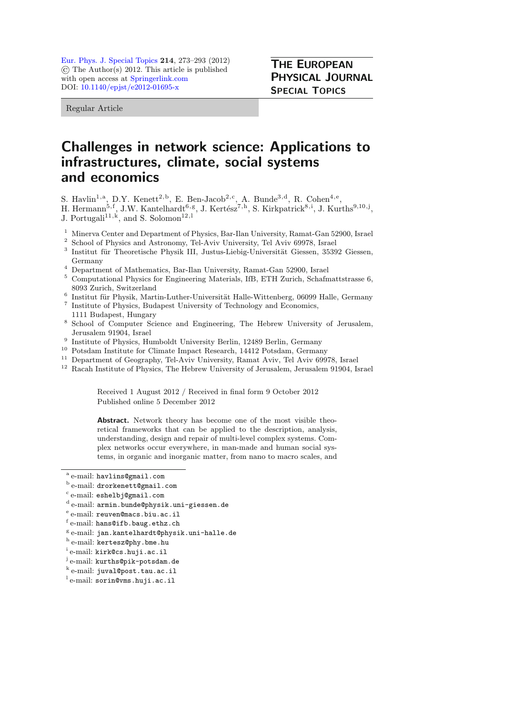[Eur. Phys. J. Special Topics](http://www.epj.org/) 214, 273–293 (2012) © The Author(s) 2012. This article is published with open access at [Springerlink.com](http://www.Springerlink.com) DOI: [10.1140/epjst/e2012-01695-x](http://dx.doi.org/10.1140/epjst/e2012-01695-x)

Regular Article

# THE EUROPEAN PHYSICAL JOURNAL SPECIAL TOPICS

# Challenges in network science: Applications to infrastructures, climate, social systems and economics

S. Havlin<sup>1,a</sup>, D.Y. Kenett<sup>2,b</sup>, E. Ben-Jacob<sup>2,c</sup>, A. Bunde<sup>3,d</sup>, R. Cohen<sup>4,e</sup>,

H. Hermann<sup>5,f</sup>, J.W. Kantelhardt<sup>6,g</sup>, J. Kertész<sup>7,h</sup>, S. Kirkpatrick<sup>8,i</sup>, J. Kurths<sup>9,10,j</sup>, J. Portugali<sup>11, k</sup>, and S. Solomon<sup>12,1</sup>

<sup>1</sup> Minerva Center and Department of Physics, Bar-Ilan University, Ramat-Gan 52900, Israel

- <sup>2</sup> School of Physics and Astronomy, Tel-Aviv University, Tel Aviv 69978, Israel
- $^3$  Institut für Theoretische Physik III, Justus-Liebig-Universität Giessen, 35392 Giessen, Germany
- <sup>4</sup> Department of Mathematics, Bar-Ilan University, Ramat-Gan 52900, Israel
- <sup>5</sup> Computational Physics for Engineering Materials, IfB, ETH Zurich, Schafmattstrasse 6, 8093 Zurich, Switzerland
- $6$  Institut für Physik, Martin-Luther-Universität Halle-Wittenberg, 06099 Halle, Germany
- <sup>7</sup> Institute of Physics, Budapest University of Technology and Economics, 1111 Budapest, Hungary
- <sup>8</sup> School of Computer Science and Engineering, The Hebrew University of Jerusalem, Jerusalem 91904, Israel
- <sup>9</sup> Institute of Physics, Humboldt University Berlin, 12489 Berlin, Germany
- <sup>10</sup> Potsdam Institute for Climate Impact Research, 14412 Potsdam, Germany
- <sup>11</sup> Department of Geography, Tel-Aviv University, Ramat Aviv, Tel Aviv 69978, Israel
- <sup>12</sup> Racah Institute of Physics, The Hebrew University of Jerusalem, Jerusalem 91904, Israel

Received 1 August 2012 / Received in final form 9 October 2012 Published online 5 December 2012

Abstract. Network theory has become one of the most visible theoretical frameworks that can be applied to the description, analysis, understanding, design and repair of multi-level complex systems. Complex networks occur everywhere, in man-made and human social systems, in organic and inorganic matter, from nano to macro scales, and

<sup>a</sup> e-mail: havlins@gmail.com

<sup>b</sup> e-mail: drorkenett@gmail.com

 $^{\rm c}$ e-mail: eshelbj@gmail.com

 $^{\rm d}$ e-mail: armin.bunde@physik.uni-giessen.de

 $^{\rm e}$ e-mail: reuven@macs.biu.ac.il

 $^{\rm f}$ e-mail: hans@ifb.baug.ethz.ch

<sup>g</sup> e-mail: jan.kantelhardt@physik.uni-halle.de

<sup>h</sup> e-mail: kertesz@phy.bme.hu

<sup>i</sup> e-mail: kirk@cs.huji.ac.il

<sup>&</sup>lt;sup>j</sup> e-mail: kurths@pik-potsdam.de

<sup>k</sup> e-mail: juval@post.tau.ac.il

<sup>l</sup> e-mail: sorin@vms.huji.ac.il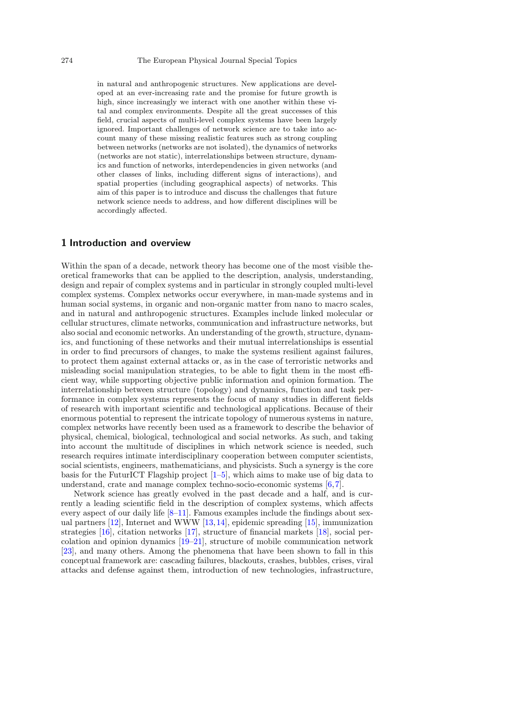in natural and anthropogenic structures. New applications are developed at an ever-increasing rate and the promise for future growth is high, since increasingly we interact with one another within these vital and complex environments. Despite all the great successes of this field, crucial aspects of multi-level complex systems have been largely ignored. Important challenges of network science are to take into account many of these missing realistic features such as strong coupling between networks (networks are not isolated), the dynamics of networks (networks are not static), interrelationships between structure, dynamics and function of networks, interdependencies in given networks (and other classes of links, including different signs of interactions), and spatial properties (including geographical aspects) of networks. This aim of this paper is to introduce and discuss the challenges that future network science needs to address, and how different disciplines will be accordingly affected.

# 1 Introduction and overview

Within the span of a decade, network theory has become one of the most visible theoretical frameworks that can be applied to the description, analysis, understanding, design and repair of complex systems and in particular in strongly coupled multi-level complex systems. Complex networks occur everywhere, in man-made systems and in human social systems, in organic and non-organic matter from nano to macro scales, and in natural and anthropogenic structures. Examples include linked molecular or cellular structures, climate networks, communication and infrastructure networks, but also social and economic networks. An understanding of the growth, structure, dynamics, and functioning of these networks and their mutual interrelationships is essential in order to find precursors of changes, to make the systems resilient against failures, to protect them against external attacks or, as in the case of terroristic networks and misleading social manipulation strategies, to be able to fight them in the most efficient way, while supporting objective public information and opinion formation. The interrelationship between structure (topology) and dynamics, function and task performance in complex systems represents the focus of many studies in different fields of research with important scientific and technological applications. Because of their enormous potential to represent the intricate topology of numerous systems in nature, complex networks have recently been used as a framework to describe the behavior of physical, chemical, biological, technological and social networks. As such, and taking into account the multitude of disciplines in which network science is needed, such research requires intimate interdisciplinary cooperation between computer scientists, social scientists, engineers, mathematicians, and physicists. Such a synergy is the core basis for the FuturICT Flagship project  $[1-5]$  $[1-5]$ , which aims to make use of big data to understand, crate and manage complex techno-socio-economic systems [\[6](#page-17-2),[7\]](#page-17-3).

Network science has greatly evolved in the past decade and a half, and is currently a leading scientific field in the description of complex systems, which affects every aspect of our daily life  $[8-11]$  $[8-11]$ . Famous examples include the findings about sexual partners [\[12\]](#page-17-6), Internet and WWW [\[13](#page-17-7)[,14](#page-17-8)], epidemic spreading [\[15\]](#page-17-9), immunization strategies [\[16](#page-17-10)], citation networks [\[17](#page-17-11)], structure of financial markets [\[18](#page-17-12)], social percolation and opinion dynamics [\[19](#page-17-13)[–21](#page-17-14)], structure of mobile communication network [\[23\]](#page-17-15), and many others. Among the phenomena that have been shown to fall in this conceptual framework are: cascading failures, blackouts, crashes, bubbles, crises, viral attacks and defense against them, introduction of new technologies, infrastructure,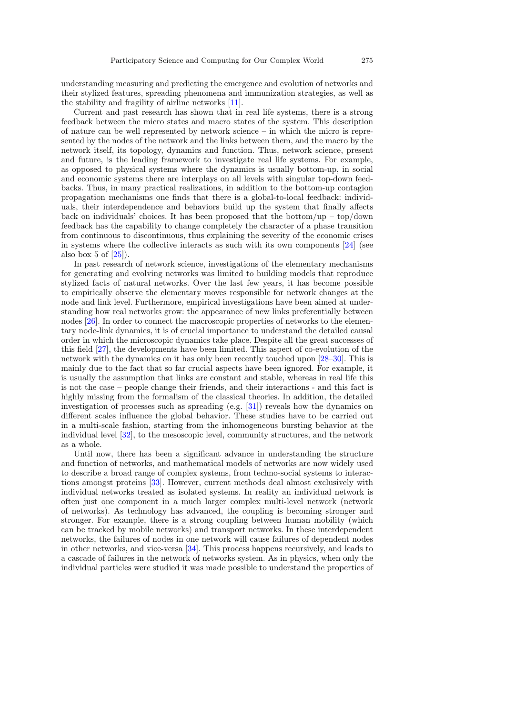understanding measuring and predicting the emergence and evolution of networks and their stylized features, spreading phenomena and immunization strategies, as well as the stability and fragility of airline networks [\[11](#page-17-5)].

Current and past research has shown that in real life systems, there is a strong feedback between the micro states and macro states of the system. This description of nature can be well represented by network science – in which the micro is represented by the nodes of the network and the links between them, and the macro by the network itself, its topology, dynamics and function. Thus, network science, present and future, is the leading framework to investigate real life systems. For example, as opposed to physical systems where the dynamics is usually bottom-up, in social and economic systems there are interplays on all levels with singular top-down feedbacks. Thus, in many practical realizations, in addition to the bottom-up contagion propagation mechanisms one finds that there is a global-to-local feedback: individuals, their interdependence and behaviors build up the system that finally affects back on individuals' choices. It has been proposed that the bottom/up – top/down feedback has the capability to change completely the character of a phase transition from continuous to discontinuous, thus explaining the severity of the economic crises in systems where the collective interacts as such with its own components [\[24](#page-17-16)] (see also box 5 of  $[25]$  $[25]$ .

In past research of network science, investigations of the elementary mechanisms for generating and evolving networks was limited to building models that reproduce stylized facts of natural networks. Over the last few years, it has become possible to empirically observe the elementary moves responsible for network changes at the node and link level. Furthermore, empirical investigations have been aimed at understanding how real networks grow: the appearance of new links preferentially between nodes [\[26](#page-17-18)]. In order to connect the macroscopic properties of networks to the elementary node-link dynamics, it is of crucial importance to understand the detailed causal order in which the microscopic dynamics take place. Despite all the great successes of this field [\[27](#page-17-19)], the developments have been limited. This aspect of co-evolution of the network with the dynamics on it has only been recently touched upon [\[28](#page-17-20)[–30](#page-17-21)]. This is mainly due to the fact that so far crucial aspects have been ignored. For example, it is usually the assumption that links are constant and stable, whereas in real life this is not the case – people change their friends, and their interactions - and this fact is highly missing from the formalism of the classical theories. In addition, the detailed investigation of processes such as spreading (e.g. [\[31](#page-17-22)]) reveals how the dynamics on different scales influence the global behavior. These studies have to be carried out in a multi-scale fashion, starting from the inhomogeneous bursting behavior at the individual level [\[32\]](#page-17-23), to the mesoscopic level, community structures, and the network as a whole.

Until now, there has been a significant advance in understanding the structure and function of networks, and mathematical models of networks are now widely used to describe a broad range of complex systems, from techno-social systems to interactions amongst proteins [\[33](#page-17-24)]. However, current methods deal almost exclusively with individual networks treated as isolated systems. In reality an individual network is often just one component in a much larger complex multi-level network (network of networks). As technology has advanced, the coupling is becoming stronger and stronger. For example, there is a strong coupling between human mobility (which can be tracked by mobile networks) and transport networks. In these interdependent networks, the failures of nodes in one network will cause failures of dependent nodes in other networks, and vice-versa [\[34](#page-17-25)]. This process happens recursively, and leads to a cascade of failures in the network of networks system. As in physics, when only the individual particles were studied it was made possible to understand the properties of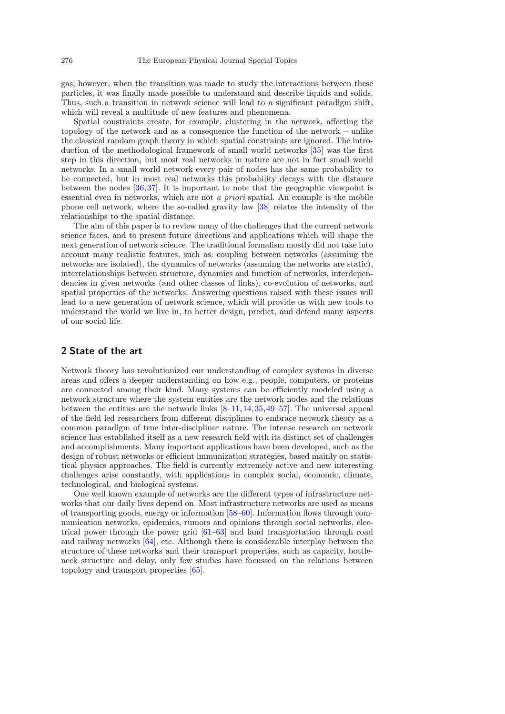gas; however, when the transition was made to study the interactions between these particles, it was finally made possible to understand and describe liquids and solids. Thus, such a transition in network science will lead to a significant paradigm shift, which will reveal a multitude of new features and phenomena.

Spatial constraints create, for example, clustering in the network, affecting the topology of the network and as a consequence the function of the network – unlike the classical random graph theory in which spatial constraints are ignored. The introduction of the methodological framework of small world networks [\[35](#page-17-26)] was the first step in this direction, but most real networks in nature are not in fact small world networks. In a small world network every pair of nodes has the same probability to be connected, but in most real networks this probability decays with the distance between the nodes [\[36](#page-17-27)[,37](#page-17-28)]. It is important to note that the geographic viewpoint is essential even in networks, which are not a priori spatial. An example is the mobile phone cell network, where the so-called gravity law [\[38\]](#page-17-29) relates the intensity of the relationships to the spatial distance.

The aim of this paper is to review many of the challenges that the current network science faces, and to present future directions and applications which will shape the next generation of network science. The traditional formalism mostly did not take into account many realistic features, such as: coupling between networks (assuming the networks are isolated), the dynamics of networks (assuming the networks are static), interrelationships between structure, dynamics and function of networks, interdependencies in given networks (and other classes of links), co-evolution of networks, and spatial properties of the networks. Answering questions raised with these issues will lead to a new generation of network science, which will provide us with new tools to understand the world we live in, to better design, predict, and defend many aspects of our social life.

# 2 State of the art

Network theory has revolutionized our understanding of complex systems in diverse areas and offers a deeper understanding on how e.g., people, computers, or proteins are connected among their kind. Many systems can be efficiently modeled using a network structure where the system entities are the network nodes and the relations between the entities are the network links  $[8-11, 14, 35, 49-57]$  $[8-11, 14, 35, 49-57]$  $[8-11, 14, 35, 49-57]$  $[8-11, 14, 35, 49-57]$  $[8-11, 14, 35, 49-57]$  $[8-11, 14, 35, 49-57]$ . The universal appeal of the field led researchers from different disciplines to embrace network theory as a common paradigm of true inter-discipliner nature. The intense research on network science has established itself as a new research field with its distinct set of challenges and accomplishments. Many important applications have been developed, such as the design of robust networks or efficient immunization strategies, based mainly on statistical physics approaches. The field is currently extremely active and new interesting challenges arise constantly, with applications in complex social, economic, climate, technological, and biological systems.

One well known example of networks are the different types of infrastructure networks that our daily lives depend on. Most infrastructure networks are used as means of transporting goods, energy or information [\[58](#page-18-2)[–60\]](#page-18-3). Information flows through communication networks, epidemics, rumors and opinions through social networks, electrical power through the power grid [\[61](#page-18-4)[–63](#page-18-5)] and land transportation through road and railway networks [\[64\]](#page-18-6), etc. Although there is considerable interplay between the structure of these networks and their transport properties, such as capacity, bottleneck structure and delay, only few studies have focussed on the relations between topology and transport properties [\[65](#page-18-7)].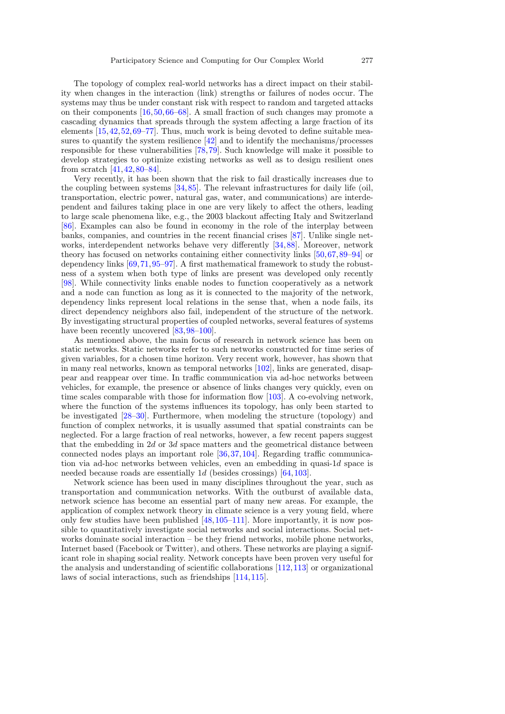The topology of complex real-world networks has a direct impact on their stability when changes in the interaction (link) strengths or failures of nodes occur. The systems may thus be under constant risk with respect to random and targeted attacks on their components [\[16](#page-17-10)[,50](#page-18-8),[66](#page-18-9)[–68\]](#page-18-10). A small fraction of such changes may promote a cascading dynamics that spreads through the system affecting a large fraction of its elements [\[15](#page-17-9),[42,](#page-18-11)[52](#page-18-12)[,69](#page-18-13)[–77](#page-18-14)]. Thus, much work is being devoted to define suitable measures to quantify the system resilience [\[42\]](#page-18-11) and to identify the mechanisms/processes responsible for these vulnerabilities [\[78](#page-19-0)[,79\]](#page-19-1). Such knowledge will make it possible to develop strategies to optimize existing networks as well as to design resilient ones from scratch [\[41](#page-18-15)[,42](#page-18-11),[80](#page-19-2)[–84\]](#page-19-3).

Very recently, it has been shown that the risk to fail drastically increases due to the coupling between systems [\[34](#page-17-25)[,85](#page-19-4)]. The relevant infrastructures for daily life (oil, transportation, electric power, natural gas, water, and communications) are interdependent and failures taking place in one are very likely to affect the others, leading to large scale phenomena like, e.g., the 2003 blackout affecting Italy and Switzerland [\[86\]](#page-19-5). Examples can also be found in economy in the role of the interplay between banks, companies, and countries in the recent financial crises [\[87](#page-19-6)]. Unlike single networks, interdependent networks behave very differently [\[34](#page-17-25),[88\]](#page-19-7). Moreover, network theory has focused on networks containing either connectivity links [\[50](#page-18-8),[67,](#page-18-16)[89](#page-19-8)[–94\]](#page-19-9) or dependency links [\[69,](#page-18-13)[71](#page-18-17)[,95](#page-19-10)[–97](#page-19-11)]. A first mathematical framework to study the robustness of a system when both type of links are present was developed only recently [\[98\]](#page-19-12). While connectivity links enable nodes to function cooperatively as a network and a node can function as long as it is connected to the majority of the network, dependency links represent local relations in the sense that, when a node fails, its direct dependency neighbors also fail, independent of the structure of the network. By investigating structural properties of coupled networks, several features of systems have been recently uncovered  $[83,98-100]$  $[83,98-100]$  $[83,98-100]$ .

As mentioned above, the main focus of research in network science has been on static networks. Static networks refer to such networks constructed for time series of given variables, for a chosen time horizon. Very recent work, however, has shown that in many real networks, known as temporal networks [\[102\]](#page-19-15), links are generated, disappear and reappear over time. In traffic communication via ad-hoc networks between vehicles, for example, the presence or absence of links changes very quickly, even on time scales comparable with those for information flow [\[103](#page-19-16)]. A co-evolving network, where the function of the systems influences its topology, has only been started to be investigated [\[28](#page-17-20)[–30](#page-17-21)]. Furthermore, when modeling the structure (topology) and function of complex networks, it is usually assumed that spatial constraints can be neglected. For a large fraction of real networks, however, a few recent papers suggest that the embedding in 2d or 3d space matters and the geometrical distance between connected nodes plays an important role [\[36,](#page-17-27)[37](#page-17-28)[,104](#page-19-17)]. Regarding traffic communication via ad-hoc networks between vehicles, even an embedding in quasi-1d space is needed because roads are essentially 1d (besides crossings) [\[64,](#page-18-6)[103\]](#page-19-16).

Network science has been used in many disciplines throughout the year, such as transportation and communication networks. With the outburst of available data, network science has become an essential part of many new areas. For example, the application of complex network theory in climate science is a very young field, where only few studies have been published  $[48,105-111]$  $[48,105-111]$  $[48,105-111]$ . More importantly, it is now possible to quantitatively investigate social networks and social interactions. Social networks dominate social interaction – be they friend networks, mobile phone networks, Internet based (Facebook or Twitter), and others. These networks are playing a significant role in shaping social reality. Network concepts have been proven very useful for the analysis and understanding of scientific collaborations [\[112](#page-19-20),[113\]](#page-19-21) or organizational laws of social interactions, such as friendships [\[114](#page-19-22),[115\]](#page-19-23).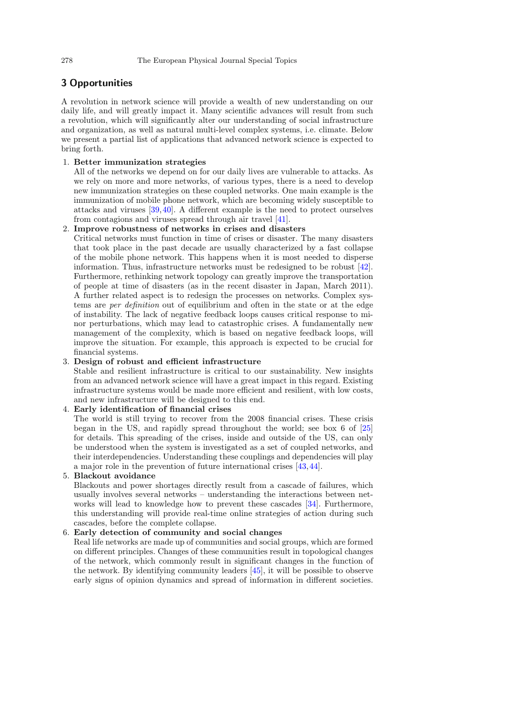# 3 Opportunities

A revolution in network science will provide a wealth of new understanding on our daily life, and will greatly impact it. Many scientific advances will result from such a revolution, which will significantly alter our understanding of social infrastructure and organization, as well as natural multi-level complex systems, i.e. climate. Below we present a partial list of applications that advanced network science is expected to bring forth.

# 1. Better immunization strategies

All of the networks we depend on for our daily lives are vulnerable to attacks. As we rely on more and more networks, of various types, there is a need to develop new immunization strategies on these coupled networks. One main example is the immunization of mobile phone network, which are becoming widely susceptible to attacks and viruses [\[39,](#page-18-19)[40\]](#page-18-20). A different example is the need to protect ourselves from contagions and viruses spread through air travel [\[41\]](#page-18-15).

#### 2. Improve robustness of networks in crises and disasters

Critical networks must function in time of crises or disaster. The many disasters that took place in the past decade are usually characterized by a fast collapse of the mobile phone network. This happens when it is most needed to disperse information. Thus, infrastructure networks must be redesigned to be robust [\[42](#page-18-11)]. Furthermore, rethinking network topology can greatly improve the transportation of people at time of disasters (as in the recent disaster in Japan, March 2011). A further related aspect is to redesign the processes on networks. Complex systems are per definition out of equilibrium and often in the state or at the edge of instability. The lack of negative feedback loops causes critical response to minor perturbations, which may lead to catastrophic crises. A fundamentally new management of the complexity, which is based on negative feedback loops, will improve the situation. For example, this approach is expected to be crucial for financial systems.

### 3. Design of robust and efficient infrastructure

Stable and resilient infrastructure is critical to our sustainability. New insights from an advanced network science will have a great impact in this regard. Existing infrastructure systems would be made more efficient and resilient, with low costs, and new infrastructure will be designed to this end.

## 4. Early identification of financial crises

The world is still trying to recover from the 2008 financial crises. These crisis began in the US, and rapidly spread throughout the world; see box 6 of [\[25\]](#page-17-17) for details. This spreading of the crises, inside and outside of the US, can only be understood when the system is investigated as a set of coupled networks, and their interdependencies. Understanding these couplings and dependencies will play a major role in the prevention of future international crises [\[43,](#page-18-21)[44\]](#page-18-22).

#### 5. Blackout avoidance

Blackouts and power shortages directly result from a cascade of failures, which usually involves several networks – understanding the interactions between networks will lead to knowledge how to prevent these cascades [\[34\]](#page-17-25). Furthermore, this understanding will provide real-time online strategies of action during such cascades, before the complete collapse.

## 6. Early detection of community and social changes

Real life networks are made up of communities and social groups, which are formed on different principles. Changes of these communities result in topological changes of the network, which commonly result in significant changes in the function of the network. By identifying community leaders [\[45](#page-18-23)], it will be possible to observe early signs of opinion dynamics and spread of information in different societies.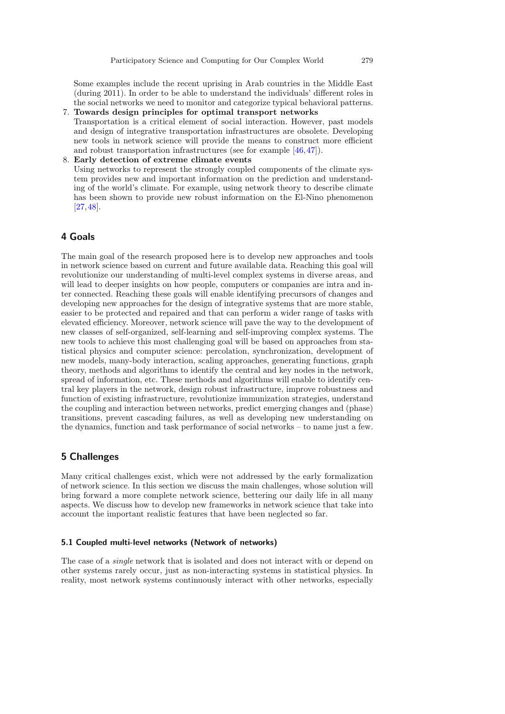Some examples include the recent uprising in Arab countries in the Middle East (during 2011). In order to be able to understand the individuals' different roles in the social networks we need to monitor and categorize typical behavioral patterns.

7. Towards design principles for optimal transport networks Transportation is a critical element of social interaction. However, past models and design of integrative transportation infrastructures are obsolete. Developing new tools in network science will provide the means to construct more efficient and robust transportation infrastructures (see for example [\[46](#page-18-24)[,47](#page-18-25)]).

# 8. Early detection of extreme climate events Using networks to represent the strongly coupled components of the climate sys-

tem provides new and important information on the prediction and understanding of the world's climate. For example, using network theory to describe climate has been shown to provide new robust information on the El-Nino phenomenon [\[27](#page-17-19)[,48](#page-18-18)].

# 4 Goals

The main goal of the research proposed here is to develop new approaches and tools in network science based on current and future available data. Reaching this goal will revolutionize our understanding of multi-level complex systems in diverse areas, and will lead to deeper insights on how people, computers or companies are intra and inter connected. Reaching these goals will enable identifying precursors of changes and developing new approaches for the design of integrative systems that are more stable, easier to be protected and repaired and that can perform a wider range of tasks with elevated efficiency. Moreover, network science will pave the way to the development of new classes of self-organized, self-learning and self-improving complex systems. The new tools to achieve this most challenging goal will be based on approaches from statistical physics and computer science: percolation, synchronization, development of new models, many-body interaction, scaling approaches, generating functions, graph theory, methods and algorithms to identify the central and key nodes in the network, spread of information, etc. These methods and algorithms will enable to identify central key players in the network, design robust infrastructure, improve robustness and function of existing infrastructure, revolutionize immunization strategies, understand the coupling and interaction between networks, predict emerging changes and (phase) transitions, prevent cascading failures, as well as developing new understanding on the dynamics, function and task performance of social networks – to name just a few.

# 5 Challenges

Many critical challenges exist, which were not addressed by the early formalization of network science. In this section we discuss the main challenges, whose solution will bring forward a more complete network science, bettering our daily life in all many aspects. We discuss how to develop new frameworks in network science that take into account the important realistic features that have been neglected so far.

#### 5.1 Coupled multi-level networks (Network of networks)

The case of a single network that is isolated and does not interact with or depend on other systems rarely occur, just as non-interacting systems in statistical physics. In reality, most network systems continuously interact with other networks, especially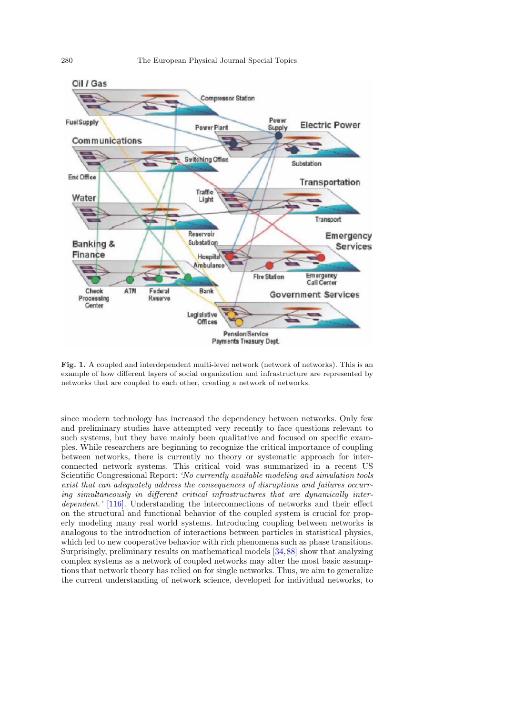

Fig. 1. A coupled and interdependent multi-level network (network of networks). This is an example of how different layers of social organization and infrastructure are represented by networks that are coupled to each other, creating a network of networks.

since modern technology has increased the dependency between networks. Only few and preliminary studies have attempted very recently to face questions relevant to such systems, but they have mainly been qualitative and focused on specific examples. While researchers are beginning to recognize the critical importance of coupling between networks, there is currently no theory or systematic approach for interconnected network systems. This critical void was summarized in a recent US Scientific Congressional Report: 'No currently available modeling and simulation tools exist that can adequately address the consequences of disruptions and failures occurring simultaneously in different critical infrastructures that are dynamically inter-dependent.' [\[116](#page-19-24)]. Understanding the interconnections of networks and their effect on the structural and functional behavior of the coupled system is crucial for properly modeling many real world systems. Introducing coupling between networks is analogous to the introduction of interactions between particles in statistical physics, which led to new cooperative behavior with rich phenomena such as phase transitions. Surprisingly, preliminary results on mathematical models [\[34](#page-17-25),[88\]](#page-19-7) show that analyzing complex systems as a network of coupled networks may alter the most basic assumptions that network theory has relied on for single networks. Thus, we aim to generalize the current understanding of network science, developed for individual networks, to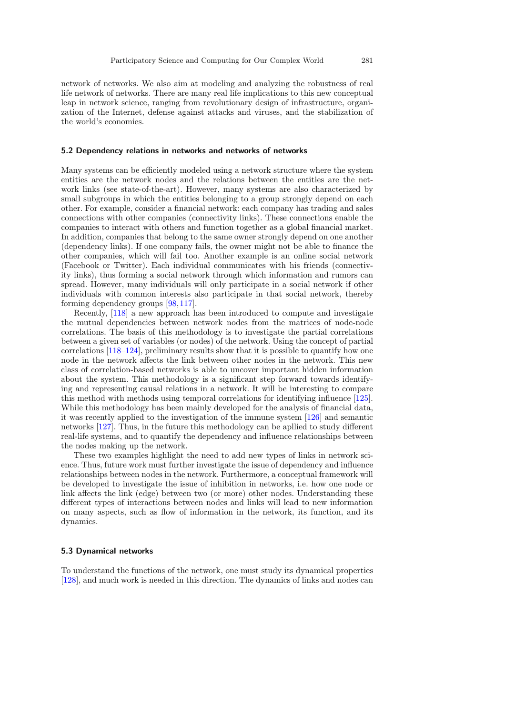network of networks. We also aim at modeling and analyzing the robustness of real life network of networks. There are many real life implications to this new conceptual leap in network science, ranging from revolutionary design of infrastructure, organization of the Internet, defense against attacks and viruses, and the stabilization of the world's economies.

#### <span id="page-8-0"></span>5.2 Dependency relations in networks and networks of networks

Many systems can be efficiently modeled using a network structure where the system entities are the network nodes and the relations between the entities are the network links (see state-of-the-art). However, many systems are also characterized by small subgroups in which the entities belonging to a group strongly depend on each other. For example, consider a financial network: each company has trading and sales connections with other companies (connectivity links). These connections enable the companies to interact with others and function together as a global financial market. In addition, companies that belong to the same owner strongly depend on one another (dependency links). If one company fails, the owner might not be able to finance the other companies, which will fail too. Another example is an online social network (Facebook or Twitter). Each individual communicates with his friends (connectivity links), thus forming a social network through which information and rumors can spread. However, many individuals will only participate in a social network if other individuals with common interests also participate in that social network, thereby forming dependency groups [\[98,](#page-19-12)[117\]](#page-19-25).

Recently, [\[118](#page-19-26)] a new approach has been introduced to compute and investigate the mutual dependencies between network nodes from the matrices of node-node correlations. The basis of this methodology is to investigate the partial correlations between a given set of variables (or nodes) of the network. Using the concept of partial correlations [\[118](#page-19-26)[–124\]](#page-20-0), preliminary results show that it is possible to quantify how one node in the network affects the link between other nodes in the network. This new class of correlation-based networks is able to uncover important hidden information about the system. This methodology is a significant step forward towards identifying and representing causal relations in a network. It will be interesting to compare this method with methods using temporal correlations for identifying influence [\[125](#page-20-1)]. While this methodology has been mainly developed for the analysis of financial data, it was recently applied to the investigation of the immune system [\[126\]](#page-20-2) and semantic networks [\[127](#page-20-3)]. Thus, in the future this methodology can be apllied to study different real-life systems, and to quantify the dependency and influence relationships between the nodes making up the network.

These two examples highlight the need to add new types of links in network science. Thus, future work must further investigate the issue of dependency and influence relationships between nodes in the network. Furthermore, a conceptual framework will be developed to investigate the issue of inhibition in networks, i.e. how one node or link affects the link (edge) between two (or more) other nodes. Understanding these different types of interactions between nodes and links will lead to new information on many aspects, such as flow of information in the network, its function, and its dynamics.

#### 5.3 Dynamical networks

To understand the functions of the network, one must study its dynamical properties [\[128\]](#page-20-4), and much work is needed in this direction. The dynamics of links and nodes can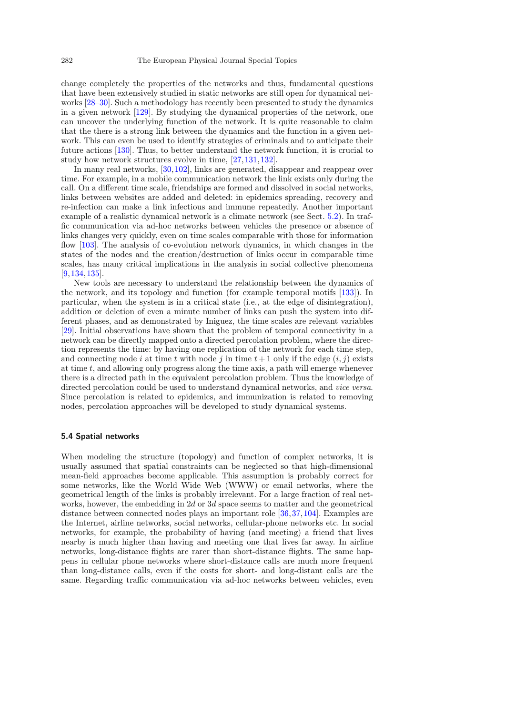change completely the properties of the networks and thus, fundamental questions that have been extensively studied in static networks are still open for dynamical networks [\[28](#page-17-20)[–30](#page-17-21)]. Such a methodology has recently been presented to study the dynamics in a given network [\[129](#page-20-5)]. By studying the dynamical properties of the network, one can uncover the underlying function of the network. It is quite reasonable to claim that the there is a strong link between the dynamics and the function in a given network. This can even be used to identify strategies of criminals and to anticipate their future actions [\[130\]](#page-20-6). Thus, to better understand the network function, it is crucial to study how network structures evolve in time, [\[27](#page-17-19)[,131](#page-20-7),[132\]](#page-20-8).

In many real networks, [\[30](#page-17-21),[102\]](#page-19-15), links are generated, disappear and reappear over time. For example, in a mobile communication network the link exists only during the call. On a different time scale, friendships are formed and dissolved in social networks, links between websites are added and deleted: in epidemics spreading, recovery and re-infection can make a link infectious and immune repeatedly. Another important example of a realistic dynamical network is a climate network (see Sect. [5.2\)](#page-8-0). In traffic communication via ad-hoc networks between vehicles the presence or absence of links changes very quickly, even on time scales comparable with those for information flow [\[103](#page-19-16)]. The analysis of co-evolution network dynamics, in which changes in the states of the nodes and the creation/destruction of links occur in comparable time scales, has many critical implications in the analysis in social collective phenomena [\[9,](#page-17-30)[134](#page-20-9)[,135](#page-20-10)].

New tools are necessary to understand the relationship between the dynamics of the network, and its topology and function (for example temporal motifs [\[133](#page-20-11)]). In particular, when the system is in a critical state (i.e., at the edge of disintegration), addition or deletion of even a minute number of links can push the system into different phases, and as demonstrated by Iniguez, the time scales are relevant variables [\[29\]](#page-17-31). Initial observations have shown that the problem of temporal connectivity in a network can be directly mapped onto a directed percolation problem, where the direction represents the time: by having one replication of the network for each time step, and connecting node i at time t with node j in time  $t + 1$  only if the edge  $(i, j)$  exists at time t, and allowing only progress along the time axis, a path will emerge whenever there is a directed path in the equivalent percolation problem. Thus the knowledge of directed percolation could be used to understand dynamical networks, and vice versa. Since percolation is related to epidemics, and immunization is related to removing nodes, percolation approaches will be developed to study dynamical systems.

#### 5.4 Spatial networks

When modeling the structure (topology) and function of complex networks, it is usually assumed that spatial constraints can be neglected so that high-dimensional mean-field approaches become applicable. This assumption is probably correct for some networks, like the World Wide Web (WWW) or email networks, where the geometrical length of the links is probably irrelevant. For a large fraction of real networks, however, the embedding in 2d or 3d space seems to matter and the geometrical distance between connected nodes plays an important role [\[36](#page-17-27),[37,](#page-17-28)[104\]](#page-19-17). Examples are the Internet, airline networks, social networks, cellular-phone networks etc. In social networks, for example, the probability of having (and meeting) a friend that lives nearby is much higher than having and meeting one that lives far away. In airline networks, long-distance flights are rarer than short-distance flights. The same happens in cellular phone networks where short-distance calls are much more frequent than long-distance calls, even if the costs for short- and long-distant calls are the same. Regarding traffic communication via ad-hoc networks between vehicles, even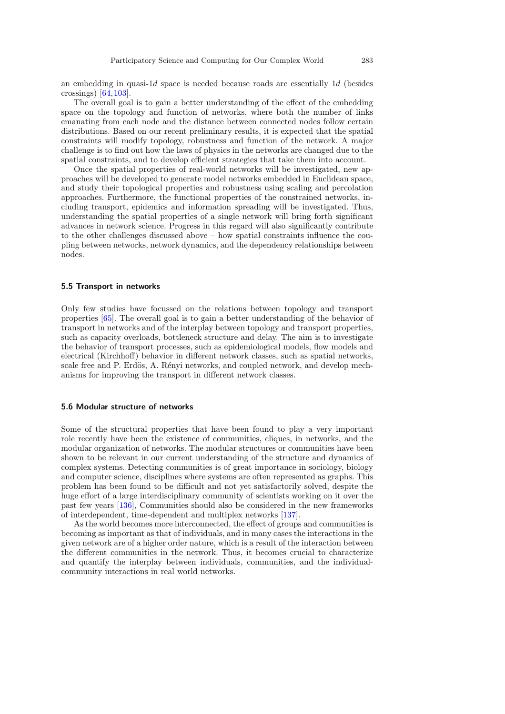an embedding in quasi-1d space is needed because roads are essentially  $1d$  (besides crossings) [\[64](#page-18-6)[,103](#page-19-16)].

The overall goal is to gain a better understanding of the effect of the embedding space on the topology and function of networks, where both the number of links emanating from each node and the distance between connected nodes follow certain distributions. Based on our recent preliminary results, it is expected that the spatial constraints will modify topology, robustness and function of the network. A major challenge is to find out how the laws of physics in the networks are changed due to the spatial constraints, and to develop efficient strategies that take them into account.

Once the spatial properties of real-world networks will be investigated, new approaches will be developed to generate model networks embedded in Euclidean space, and study their topological properties and robustness using scaling and percolation approaches. Furthermore, the functional properties of the constrained networks, including transport, epidemics and information spreading will be investigated. Thus, understanding the spatial properties of a single network will bring forth significant advances in network science. Progress in this regard will also significantly contribute to the other challenges discussed above – how spatial constraints influence the coupling between networks, network dynamics, and the dependency relationships between nodes.

#### 5.5 Transport in networks

Only few studies have focussed on the relations between topology and transport properties [\[65\]](#page-18-7). The overall goal is to gain a better understanding of the behavior of transport in networks and of the interplay between topology and transport properties, such as capacity overloads, bottleneck structure and delay. The aim is to investigate the behavior of transport processes, such as epidemiological models, flow models and electrical (Kirchhoff) behavior in different network classes, such as spatial networks, scale free and P. Erdös, A. Rényi networks, and coupled network, and develop mechanisms for improving the transport in different network classes.

#### 5.6 Modular structure of networks

Some of the structural properties that have been found to play a very important role recently have been the existence of communities, cliques, in networks, and the modular organization of networks. The modular structures or communities have been shown to be relevant in our current understanding of the structure and dynamics of complex systems. Detecting communities is of great importance in sociology, biology and computer science, disciplines where systems are often represented as graphs. This problem has been found to be difficult and not yet satisfactorily solved, despite the huge effort of a large interdisciplinary community of scientists working on it over the past few years [\[136](#page-20-12)], Communities should also be considered in the new frameworks of interdependent, time-dependent and multiplex networks [\[137\]](#page-20-13).

As the world becomes more interconnected, the effect of groups and communities is becoming as important as that of individuals, and in many cases the interactions in the given network are of a higher order nature, which is a result of the interaction between the different communities in the network. Thus, it becomes crucial to characterize and quantify the interplay between individuals, communities, and the individualcommunity interactions in real world networks.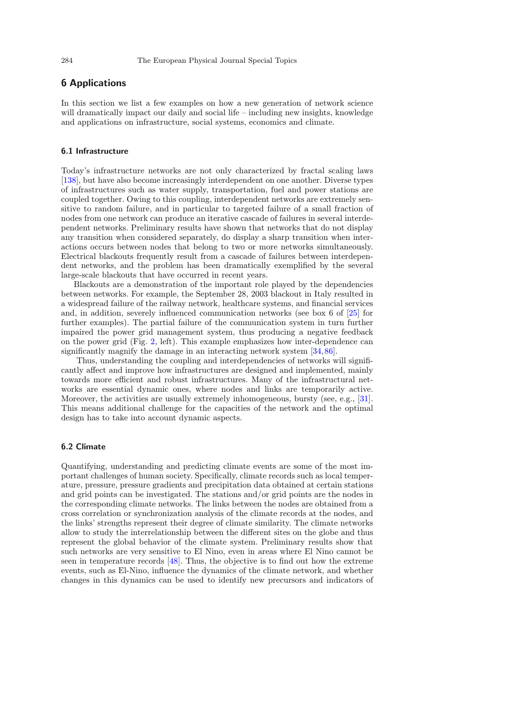# 6 Applications

In this section we list a few examples on how a new generation of network science will dramatically impact our daily and social life – including new insights, knowledge and applications on infrastructure, social systems, economics and climate.

#### 6.1 Infrastructure

Today's infrastructure networks are not only characterized by fractal scaling laws [\[138\]](#page-20-14), but have also become increasingly interdependent on one another. Diverse types of infrastructures such as water supply, transportation, fuel and power stations are coupled together. Owing to this coupling, interdependent networks are extremely sensitive to random failure, and in particular to targeted failure of a small fraction of nodes from one network can produce an iterative cascade of failures in several interdependent networks. Preliminary results have shown that networks that do not display any transition when considered separately, do display a sharp transition when interactions occurs between nodes that belong to two or more networks simultaneously. Electrical blackouts frequently result from a cascade of failures between interdependent networks, and the problem has been dramatically exemplified by the several large-scale blackouts that have occurred in recent years.

Blackouts are a demonstration of the important role played by the dependencies between networks. For example, the September 28, 2003 blackout in Italy resulted in a widespread failure of the railway network, healthcare systems, and financial services and, in addition, severely influenced communication networks (see box 6 of [\[25](#page-17-17)] for further examples). The partial failure of the communication system in turn further impaired the power grid management system, thus producing a negative feedback on the power grid (Fig. [2,](#page-12-0) left). This example emphasizes how inter-dependence can significantly magnify the damage in an interacting network system [\[34,](#page-17-25)[86](#page-19-5)].

Thus, understanding the coupling and interdependencies of networks will significantly affect and improve how infrastructures are designed and implemented, mainly towards more efficient and robust infrastructures. Many of the infrastructural networks are essential dynamic ones, where nodes and links are temporarily active. Moreover, the activities are usually extremely inhomogeneous, bursty (see, e.g., [\[31](#page-17-22)]. This means additional challenge for the capacities of the network and the optimal design has to take into account dynamic aspects.

#### 6.2 Climate

Quantifying, understanding and predicting climate events are some of the most important challenges of human society. Specifically, climate records such as local temperature, pressure, pressure gradients and precipitation data obtained at certain stations and grid points can be investigated. The stations and/or grid points are the nodes in the corresponding climate networks. The links between the nodes are obtained from a cross correlation or synchronization analysis of the climate records at the nodes, and the links' strengths represent their degree of climate similarity. The climate networks allow to study the interrelationship between the different sites on the globe and thus represent the global behavior of the climate system. Preliminary results show that such networks are very sensitive to El Nino, even in areas where El Nino cannot be seen in temperature records [\[48\]](#page-18-18). Thus, the objective is to find out how the extreme events, such as El-Nino, influence the dynamics of the climate network, and whether changes in this dynamics can be used to identify new precursors and indicators of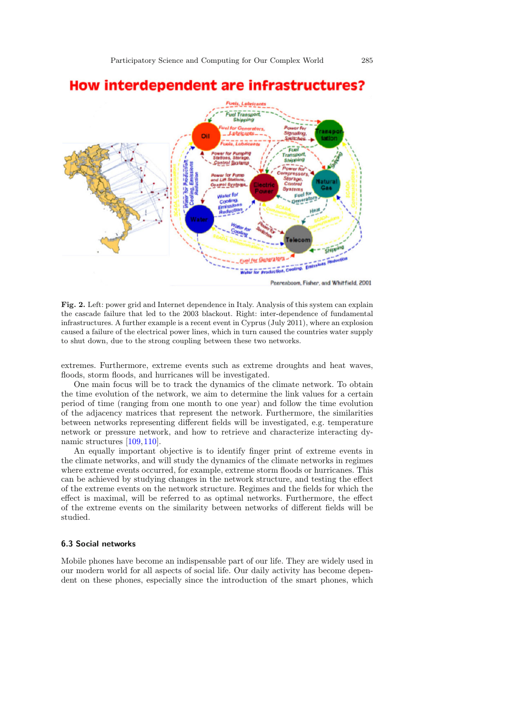<span id="page-12-0"></span>

# **How interdependent are infrastructures?**

Peerenboom, Fisher, and Whitfield, 2001

Fig. 2. Left: power grid and Internet dependence in Italy. Analysis of this system can explain the cascade failure that led to the 2003 blackout. Right: inter-dependence of fundamental infrastructures. A further example is a recent event in Cyprus (July 2011), where an explosion caused a failure of the electrical power lines, which in turn caused the countries water supply to shut down, due to the strong coupling between these two networks.

extremes. Furthermore, extreme events such as extreme droughts and heat waves, floods, storm floods, and hurricanes will be investigated.

One main focus will be to track the dynamics of the climate network. To obtain the time evolution of the network, we aim to determine the link values for a certain period of time (ranging from one month to one year) and follow the time evolution of the adjacency matrices that represent the network. Furthermore, the similarities between networks representing different fields will be investigated, e.g. temperature network or pressure network, and how to retrieve and characterize interacting dynamic structures [\[109](#page-19-27)[,110](#page-19-28)].

An equally important objective is to identify finger print of extreme events in the climate networks, and will study the dynamics of the climate networks in regimes where extreme events occurred, for example, extreme storm floods or hurricanes. This can be achieved by studying changes in the network structure, and testing the effect of the extreme events on the network structure. Regimes and the fields for which the effect is maximal, will be referred to as optimal networks. Furthermore, the effect of the extreme events on the similarity between networks of different fields will be studied.

## 6.3 Social networks

Mobile phones have become an indispensable part of our life. They are widely used in our modern world for all aspects of social life. Our daily activity has become dependent on these phones, especially since the introduction of the smart phones, which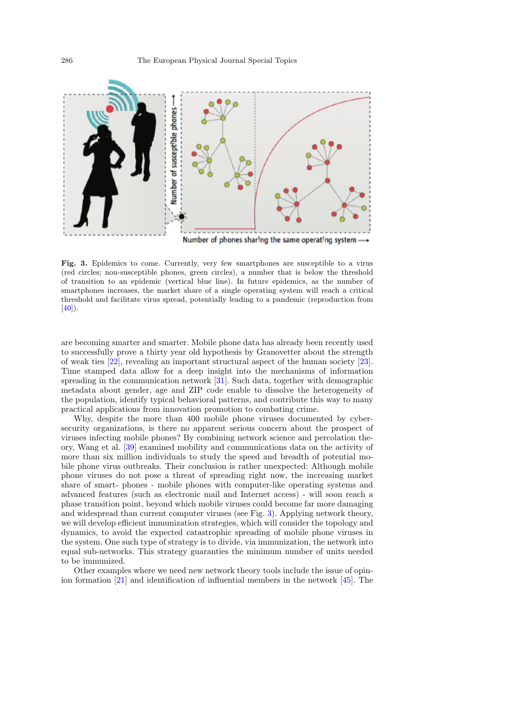<span id="page-13-0"></span>

Fig. 3. Epidemics to come. Currently, very few smartphones are susceptible to a virus (red circles; non-susceptible phones, green circles), a number that is below the threshold of transition to an epidemic (vertical blue line). In future epidemics, as the number of smartphones increases, the market share of a single operating system will reach a critical threshold and facilitate virus spread, potentially leading to a pandemic (reproduction from  $[40]$ ).

are becoming smarter and smarter. Mobile phone data has already been recently used to successfully prove a thirty year old hypothesis by Granovetter about the strength of weak ties [\[22](#page-17-32)], revealing an important structural aspect of the human society [\[23](#page-17-15)]. Time stamped data allow for a deep insight into the mechanisms of information spreading in the communication network [\[31\]](#page-17-22). Such data, together with demographic metadata about gender, age and ZIP code enable to dissolve the heterogeneity of the population, identify typical behavioral patterns, and contribute this way to many practical applications from innovation promotion to combating crime.

Why, despite the more than 400 mobile phone viruses documented by cybersecurity organizations, is there no apparent serious concern about the prospect of viruses infecting mobile phones? By combining network science and percolation theory, Wang et al. [\[39](#page-18-19)] examined mobility and communications data on the activity of more than six million individuals to study the speed and breadth of potential mobile phone virus outbreaks. Their conclusion is rather unexpected: Although mobile phone viruses do not pose a threat of spreading right now, the increasing market share of smart- phones - mobile phones with computer-like operating systems and advanced features (such as electronic mail and Internet access) - will soon reach a phase transition point, beyond which mobile viruses could become far more damaging and widespread than current computer viruses (see Fig. [3\)](#page-13-0). Applying network theory, we will develop efficient immunization strategies, which will consider the topology and dynamics, to avoid the expected catastrophic spreading of mobile phone viruses in the system. One such type of strategy is to divide, via immunization, the network into equal sub-networks. This strategy guaranties the minimum number of units needed to be immunized.

Other examples where we need new network theory tools include the issue of opinion formation [\[21](#page-17-14)] and identification of influential members in the network [\[45](#page-18-23)]. The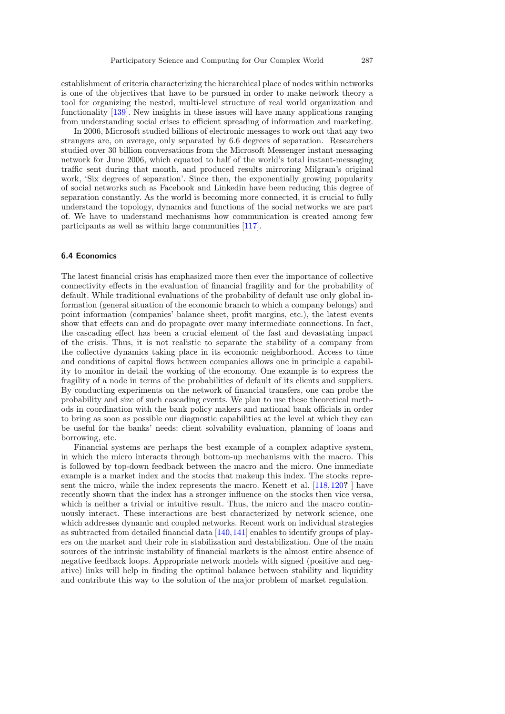establishment of criteria characterizing the hierarchical place of nodes within networks is one of the objectives that have to be pursued in order to make network theory a tool for organizing the nested, multi-level structure of real world organization and functionality [\[139](#page-20-15)]. New insights in these issues will have many applications ranging from understanding social crises to efficient spreading of information and marketing.

In 2006, Microsoft studied billions of electronic messages to work out that any two strangers are, on average, only separated by 6.6 degrees of separation. Researchers studied over 30 billion conversations from the Microsoft Messenger instant messaging network for June 2006, which equated to half of the world's total instant-messaging traffic sent during that month, and produced results mirroring Milgram's original work, 'Six degrees of separation'. Since then, the exponentially growing popularity of social networks such as Facebook and Linkedin have been reducing this degree of separation constantly. As the world is becoming more connected, it is crucial to fully understand the topology, dynamics and functions of the social networks we are part of. We have to understand mechanisms how communication is created among few participants as well as within large communities [\[117\]](#page-19-25).

#### 6.4 Economics

The latest financial crisis has emphasized more then ever the importance of collective connectivity effects in the evaluation of financial fragility and for the probability of default. While traditional evaluations of the probability of default use only global information (general situation of the economic branch to which a company belongs) and point information (companies' balance sheet, profit margins, etc.), the latest events show that effects can and do propagate over many intermediate connections. In fact, the cascading effect has been a crucial element of the fast and devastating impact of the crisis. Thus, it is not realistic to separate the stability of a company from the collective dynamics taking place in its economic neighborhood. Access to time and conditions of capital flows between companies allows one in principle a capability to monitor in detail the working of the economy. One example is to express the fragility of a node in terms of the probabilities of default of its clients and suppliers. By conducting experiments on the network of financial transfers, one can probe the probability and size of such cascading events. We plan to use these theoretical methods in coordination with the bank policy makers and national bank officials in order to bring as soon as possible our diagnostic capabilities at the level at which they can be useful for the banks' needs: client solvability evaluation, planning of loans and borrowing, etc.

Financial systems are perhaps the best example of a complex adaptive system, in which the micro interacts through bottom-up mechanisms with the macro. This is followed by top-down feedback between the macro and the micro. One immediate example is a market index and the stocks that makeup this index. The stocks represent the micro, while the index represents the macro. Kenett et al. [\[118](#page-19-26),[120](#page-19-29)? ] have recently shown that the index has a stronger influence on the stocks then vice versa, which is neither a trivial or intuitive result. Thus, the micro and the macro continuously interact. These interactions are best characterized by network science, one which addresses dynamic and coupled networks. Recent work on individual strategies as subtracted from detailed financial data [\[140](#page-20-16)[,141](#page-20-17)] enables to identify groups of players on the market and their role in stabilization and destabilization. One of the main sources of the intrinsic instability of financial markets is the almost entire absence of negative feedback loops. Appropriate network models with signed (positive and negative) links will help in finding the optimal balance between stability and liquidity and contribute this way to the solution of the major problem of market regulation.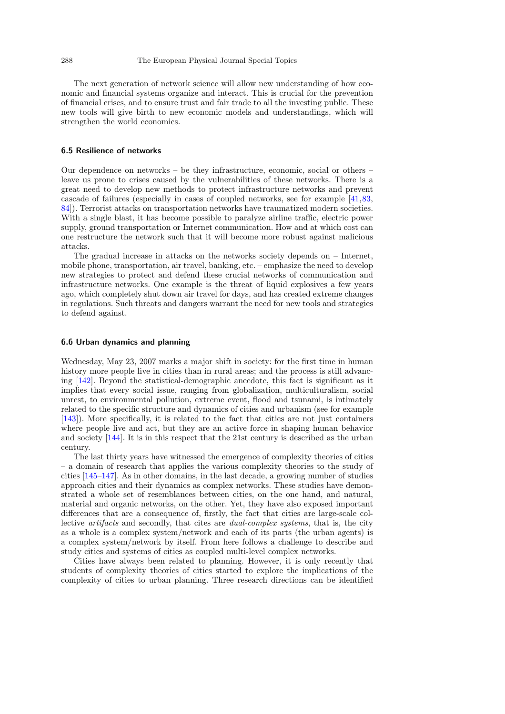The next generation of network science will allow new understanding of how economic and financial systems organize and interact. This is crucial for the prevention of financial crises, and to ensure trust and fair trade to all the investing public. These new tools will give birth to new economic models and understandings, which will strengthen the world economics.

#### 6.5 Resilience of networks

Our dependence on networks – be they infrastructure, economic, social or others – leave us prone to crises caused by the vulnerabilities of these networks. There is a great need to develop new methods to protect infrastructure networks and prevent cascade of failures (especially in cases of coupled networks, see for example [\[41](#page-18-15),[83,](#page-19-13) [84\]](#page-19-3)). Terrorist attacks on transportation networks have traumatized modern societies. With a single blast, it has become possible to paralyze airline traffic, electric power supply, ground transportation or Internet communication. How and at which cost can one restructure the network such that it will become more robust against malicious attacks.

The gradual increase in attacks on the networks society depends on – Internet, mobile phone, transportation, air travel, banking, etc. – emphasize the need to develop new strategies to protect and defend these crucial networks of communication and infrastructure networks. One example is the threat of liquid explosives a few years ago, which completely shut down air travel for days, and has created extreme changes in regulations. Such threats and dangers warrant the need for new tools and strategies to defend against.

#### 6.6 Urban dynamics and planning

Wednesday, May 23, 2007 marks a major shift in society: for the first time in human history more people live in cities than in rural areas; and the process is still advancing [\[142](#page-20-18)]. Beyond the statistical-demographic anecdote, this fact is significant as it implies that every social issue, ranging from globalization, multiculturalism, social unrest, to environmental pollution, extreme event, flood and tsunami, is intimately related to the specific structure and dynamics of cities and urbanism (see for example [\[143\]](#page-20-19)). More specifically, it is related to the fact that cities are not just containers where people live and act, but they are an active force in shaping human behavior and society [\[144\]](#page-20-20). It is in this respect that the 21st century is described as the urban century.

The last thirty years have witnessed the emergence of complexity theories of cities – a domain of research that applies the various complexity theories to the study of cities [\[145](#page-20-21)[–147\]](#page-20-22). As in other domains, in the last decade, a growing number of studies approach cities and their dynamics as complex networks. These studies have demonstrated a whole set of resemblances between cities, on the one hand, and natural, material and organic networks, on the other. Yet, they have also exposed important differences that are a consequence of, firstly, the fact that cities are large-scale collective artifacts and secondly, that cites are dual-complex systems, that is, the city as a whole is a complex system/network and each of its parts (the urban agents) is a complex system/network by itself. From here follows a challenge to describe and study cities and systems of cities as coupled multi-level complex networks.

Cities have always been related to planning. However, it is only recently that students of complexity theories of cities started to explore the implications of the complexity of cities to urban planning. Three research directions can be identified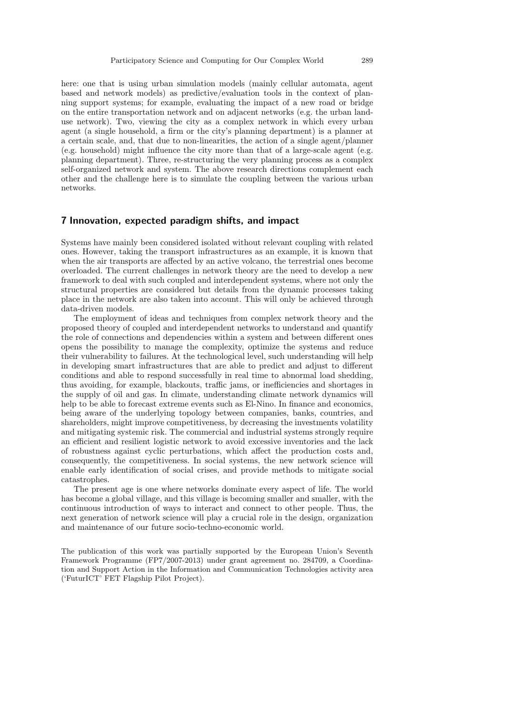here: one that is using urban simulation models (mainly cellular automata, agent based and network models) as predictive/evaluation tools in the context of planning support systems; for example, evaluating the impact of a new road or bridge on the entire transportation network and on adjacent networks (e.g. the urban landuse network). Two, viewing the city as a complex network in which every urban agent (a single household, a firm or the city's planning department) is a planner at a certain scale, and, that due to non-linearities, the action of a single agent/planner (e.g. household) might influence the city more than that of a large-scale agent (e.g. planning department). Three, re-structuring the very planning process as a complex self-organized network and system. The above research directions complement each other and the challenge here is to simulate the coupling between the various urban networks.

## 7 Innovation, expected paradigm shifts, and impact

Systems have mainly been considered isolated without relevant coupling with related ones. However, taking the transport infrastructures as an example, it is known that when the air transports are affected by an active volcano, the terrestrial ones become overloaded. The current challenges in network theory are the need to develop a new framework to deal with such coupled and interdependent systems, where not only the structural properties are considered but details from the dynamic processes taking place in the network are also taken into account. This will only be achieved through data-driven models.

The employment of ideas and techniques from complex network theory and the proposed theory of coupled and interdependent networks to understand and quantify the role of connections and dependencies within a system and between different ones opens the possibility to manage the complexity, optimize the systems and reduce their vulnerability to failures. At the technological level, such understanding will help in developing smart infrastructures that are able to predict and adjust to different conditions and able to respond successfully in real time to abnormal load shedding, thus avoiding, for example, blackouts, traffic jams, or inefficiencies and shortages in the supply of oil and gas. In climate, understanding climate network dynamics will help to be able to forecast extreme events such as El-Nino. In finance and economics, being aware of the underlying topology between companies, banks, countries, and shareholders, might improve competitiveness, by decreasing the investments volatility and mitigating systemic risk. The commercial and industrial systems strongly require an efficient and resilient logistic network to avoid excessive inventories and the lack of robustness against cyclic perturbations, which affect the production costs and, consequently, the competitiveness. In social systems, the new network science will enable early identification of social crises, and provide methods to mitigate social catastrophes.

The present age is one where networks dominate every aspect of life. The world has become a global village, and this village is becoming smaller and smaller, with the continuous introduction of ways to interact and connect to other people. Thus, the next generation of network science will play a crucial role in the design, organization and maintenance of our future socio-techno-economic world.

The publication of this work was partially supported by the European Union's Seventh Framework Programme (FP7/2007-2013) under grant agreement no. 284709, a Coordination and Support Action in the Information and Communication Technologies activity area ('FuturICT' FET Flagship Pilot Project).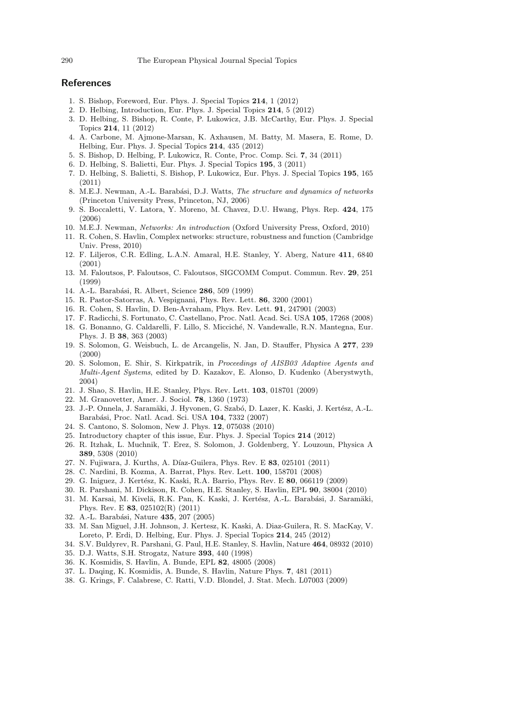# <span id="page-17-0"></span>**References**

- 1. S. Bishop, Foreword, Eur. Phys. J. Special Topics 214, 1 (2012)
- 2. D. Helbing, Introduction, Eur. Phys. J. Special Topics 214, 5 (2012)
- 3. D. Helbing, S. Bishop, R. Conte, P. Lukowicz, J.B. McCarthy, Eur. Phys. J. Special Topics 214, 11 (2012)
- 4. A. Carbone, M. Ajmone-Marsan, K. Axhausen, M. Batty, M. Masera, E. Rome, D. Helbing, Eur. Phys. J. Special Topics 214, 435 (2012)
- <span id="page-17-1"></span>5. S. Bishop, D. Helbing, P. Lukowicz, R. Conte, Proc. Comp. Sci. 7, 34 (2011)
- <span id="page-17-2"></span>6. D. Helbing, S. Balietti, Eur. Phys. J. Special Topics 195, 3 (2011)
- <span id="page-17-3"></span>7. D. Helbing, S. Balietti, S. Bishop, P. Lukowicz, Eur. Phys. J. Special Topics 195, 165 (2011)
- <span id="page-17-4"></span>8. M.E.J. Newman, A.-L. Barabási, D.J. Watts, The structure and dynamics of networks (Princeton University Press, Princeton, NJ, 2006)
- <span id="page-17-30"></span>9. S. Boccaletti, V. Latora, Y. Moreno, M. Chavez, D.U. Hwang, Phys. Rep. 424, 175 (2006)
- 10. M.E.J. Newman, Networks: An introduction (Oxford University Press, Oxford, 2010)
- <span id="page-17-5"></span>11. R. Cohen, S. Havlin, Complex networks: structure, robustness and function (Cambridge Univ. Press, 2010)
- <span id="page-17-6"></span>12. F. Liljeros, C.R. Edling, L.A.N. Amaral, H.E. Stanley, Y. Aberg, Nature 411, 6840 (2001)
- <span id="page-17-7"></span>13. M. Faloutsos, P. Faloutsos, C. Faloutsos, SIGCOMM Comput. Commun. Rev. 29, 251 (1999)
- <span id="page-17-8"></span>14. A.-L. Barabási, R. Albert, Science 286, 509 (1999)
- <span id="page-17-9"></span>15. R. Pastor-Satorras, A. Vespignani, Phys. Rev. Lett. 86, 3200 (2001)
- <span id="page-17-10"></span>16. R. Cohen, S. Havlin, D. Ben-Avraham, Phys. Rev. Lett. 91, 247901 (2003)
- <span id="page-17-11"></span>17. F. Radicchi, S. Fortunato, C. Castellano, Proc. Natl. Acad. Sci. USA 105, 17268 (2008)
- <span id="page-17-12"></span>18. G. Bonanno, G. Caldarelli, F. Lillo, S. Miccich´e, N. Vandewalle, R.N. Mantegna, Eur. Phys. J. B 38, 363 (2003)
- <span id="page-17-13"></span>19. S. Solomon, G. Weisbuch, L. de Arcangelis, N. Jan, D. Stauffer, Physica A 277, 239 (2000)
- 20. S. Solomon, E. Shir, S. Kirkpatrik, in Proceedings of AISB03 Adaptive Agents and Multi-Agent Systems, edited by D. Kazakov, E. Alonso, D. Kudenko (Aberystwyth, 2004)
- <span id="page-17-14"></span>21. J. Shao, S. Havlin, H.E. Stanley, Phys. Rev. Lett. 103, 018701 (2009)
- 22. M. Granovetter, Amer. J. Sociol. 78, 1360 (1973)
- <span id="page-17-32"></span><span id="page-17-15"></span>23. J.-P. Onnela, J. Saramäki, J. Hyvonen, G. Szabó, D. Lazer, K. Kaski, J. Kertész, A.-L. Barabási, Proc. Natl. Acad. Sci. USA 104, 7332 (2007)
- <span id="page-17-16"></span>24. S. Cantono, S. Solomon, New J. Phys. 12, 075038 (2010)
- <span id="page-17-17"></span>25. Introductory chapter of this issue, Eur. Phys. J. Special Topics 214 (2012)
- <span id="page-17-18"></span>26. R. Itzhak, L. Muchnik, T. Erez, S. Solomon, J. Goldenberg, Y. Louzoun, Physica A 389, 5308 (2010)
- <span id="page-17-19"></span>27. N. Fujiwara, J. Kurths, A. Díaz-Guilera, Phys. Rev. E 83, 025101 (2011)
- <span id="page-17-20"></span>28. C. Nardini, B. Kozma, A. Barrat, Phys. Rev. Lett. <sup>100</sup>, 158701 (2008)
- <span id="page-17-31"></span>29. G. Iniguez, J. Kertész, K. Kaski, R.A. Barrio, Phys. Rev. E 80, 066119 (2009)
- <span id="page-17-21"></span>30. R. Parshani, M. Dickison, R. Cohen, H.E. Stanley, S. Havlin, EPL 90, 38004 (2010)
- <span id="page-17-22"></span>31. M. Karsai, M. Kivelä, R.K. Pan, K. Kaski, J. Kertész, A.-L. Barabási, J. Saramäki, Phys. Rev. E 83, 025102(R) (2011)
- <span id="page-17-23"></span>32. A.-L. Barabási, Nature 435, 207 (2005)
- <span id="page-17-24"></span>33. M. San Miguel, J.H. Johnson, J. Kertesz, K. Kaski, A. Diaz-Guilera, R. S. MacKay, V. Loreto, P. Erdi, D. Helbing, Eur. Phys. J. Special Topics 214, 245 (2012)
- <span id="page-17-25"></span>34. S.V. Buldyrev, R. Parshani, G. Paul, H.E. Stanley, S. Havlin, Nature 464, 08932 (2010)
- <span id="page-17-26"></span>35. D.J. Watts, S.H. Strogatz, Nature 393, 440 (1998)
- <span id="page-17-27"></span>36. K. Kosmidis, S. Havlin, A. Bunde, EPL 82, 48005 (2008)
- <span id="page-17-28"></span>37. L. Daqing, K. Kosmidis, A. Bunde, S. Havlin, Nature Phys. 7, 481 (2011)
- <span id="page-17-29"></span>38. G. Krings, F. Calabrese, C. Ratti, V.D. Blondel, J. Stat. Mech. L07003 (2009)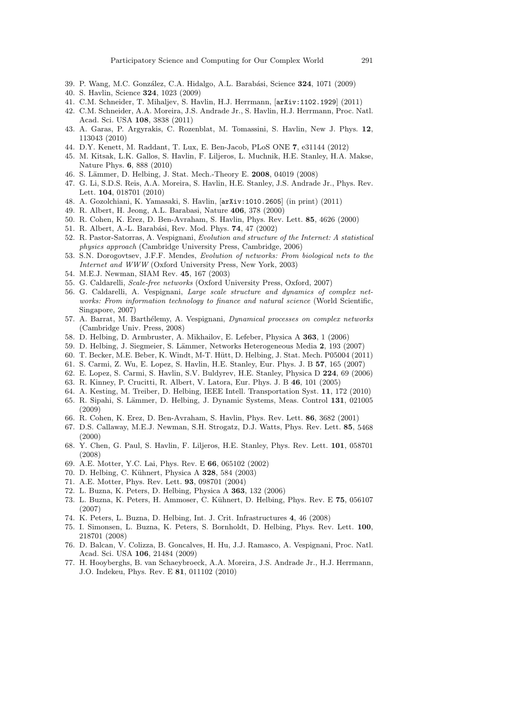- <span id="page-18-20"></span><span id="page-18-19"></span>39. P. Wang, M.C. González, C.A. Hidalgo, A.L. Barabási, Science 324, 1071 (2009)
- 40. S. Havlin, Science 324, 1023 (2009)
- <span id="page-18-15"></span>41. C.M. Schneider, T. Mihaljev, S. Havlin, H.J. Herrmann, [arXiv:1102.1929] (2011)
- <span id="page-18-11"></span>42. C.M. Schneider, A.A. Moreira, J.S. Andrade Jr., S. Havlin, H.J. Herrmann, Proc. Natl. Acad. Sci. USA 108, 3838 (2011)
- <span id="page-18-21"></span>43. A. Garas, P. Argyrakis, C. Rozenblat, M. Tomassini, S. Havlin, New J. Phys. 12, 113043 (2010)
- <span id="page-18-22"></span>44. D.Y. Kenett, M. Raddant, T. Lux, E. Ben-Jacob, PLoS ONE 7, e31144 (2012)
- <span id="page-18-23"></span>45. M. Kitsak, L.K. Gallos, S. Havlin, F. Liljeros, L. Muchnik, H.E. Stanley, H.A. Makse, Nature Phys. 6, 888 (2010)
- <span id="page-18-24"></span>46. S. Lämmer, D. Helbing, J. Stat. Mech.-Theory E. 2008, 04019 (2008)
- <span id="page-18-25"></span>47. G. Li, S.D.S. Reis, A.A. Moreira, S. Havlin, H.E. Stanley, J.S. Andrade Jr., Phys. Rev. Lett. 104, 018701 (2010)
- <span id="page-18-18"></span>48. A. Gozolchiani, K. Yamasaki, S. Havlin, [arXiv:1010.2605] (in print) (2011)
- <span id="page-18-0"></span>49. R. Albert, H. Jeong, A.L. Barabasi, Nature 406, 378 (2000)
- <span id="page-18-8"></span>50. R. Cohen, K. Erez, D. Ben-Avraham, S. Havlin, Phys. Rev. Lett. 85, 4626 (2000)
- 51. R. Albert, A.-L. Barabási, Rev. Mod. Phys. **74**, 47 (2002)
- <span id="page-18-12"></span>52. R. Pastor-Satorras, A. Vespignani, Evolution and structure of the Internet: A statistical physics approach (Cambridge University Press, Cambridge, 2006)
- 53. S.N. Dorogovtsev, J.F.F. Mendes, Evolution of networks: From biological nets to the Internet and WWW (Oxford University Press, New York, 2003)
- 54. M.E.J. Newman, SIAM Rev. 45, 167 (2003)
- 55. G. Caldarelli, Scale-free networks (Oxford University Press, Oxford, 2007)
- 56. G. Caldarelli, A. Vespignani, Large scale structure and dynamics of complex networks: From information technology to finance and natural science (World Scientific, Singapore, 2007)
- <span id="page-18-1"></span>57. A. Barrat, M. Barthélemy, A. Vespignani, *Dynamical processes on complex networks* (Cambridge Univ. Press, 2008)
- <span id="page-18-2"></span>58. D. Helbing, D. Armbruster, A. Mikhailov, E. Lefeber, Physica A 363, 1 (2006)
- 59. D. Helbing, J. Siegmeier, S. Lämmer, Networks Heterogeneous Media 2, 193 (2007)
- <span id="page-18-3"></span>60. T. Becker, M.E. Beber, K. Windt, M-T. H¨utt, D. Helbing, J. Stat. Mech. P05004 (2011)
- <span id="page-18-4"></span>61. S. Carmi, Z. Wu, E. Lopez, S. Havlin, H.E. Stanley, Eur. Phys. J. B 57, 165 (2007)
- 62. E. Lopez, S. Carmi, S. Havlin, S.V. Buldyrev, H.E. Stanley, Physica D 224, 69 (2006)
- <span id="page-18-5"></span>63. R. Kinney, P. Crucitti, R. Albert, V. Latora, Eur. Phys. J. B 46, 101 (2005)
- <span id="page-18-6"></span>64. A. Kesting, M. Treiber, D. Helbing, IEEE Intell. Transportation Syst. 11, 172 (2010)
- <span id="page-18-7"></span>65. R. Sipahi, S. L¨ammer, D. Helbing, J. Dynamic Systems, Meas. Control 131, 021005 (2009)
- <span id="page-18-9"></span>66. R. Cohen, K. Erez, D. Ben-Avraham, S. Havlin, Phys. Rev. Lett. 86, 3682 (2001)
- <span id="page-18-16"></span>67. D.S. Callaway, M.E.J. Newman, S.H. Strogatz, D.J. Watts, Phys. Rev. Lett. <sup>85</sup>, <sup>5468</sup> (2000)
- <span id="page-18-10"></span>68. Y. Chen, G. Paul, S. Havlin, F. Liljeros, H.E. Stanley, Phys. Rev. Lett. 101, 058701 (2008)
- <span id="page-18-13"></span>69. A.E. Motter, Y.C. Lai, Phys. Rev. E 66, 065102 (2002)
- 70. D. Helbing, C. K¨uhnert, Physica A 328, 584 (2003)
- <span id="page-18-17"></span>71. A.E. Motter, Phys. Rev. Lett. 93, 098701 (2004)
- 72. L. Buzna, K. Peters, D. Helbing, Physica A 363, 132 (2006)
- 73. L. Buzna, K. Peters, H. Ammoser, C. K¨uhnert, D. Helbing, Phys. Rev. E 75, 056107 (2007)
- 74. K. Peters, L. Buzna, D. Helbing, Int. J. Crit. Infrastructures 4, 46 (2008)
- 75. I. Simonsen, L. Buzna, K. Peters, S. Bornholdt, D. Helbing, Phys. Rev. Lett. 100, 218701 (2008)
- 76. D. Balcan, V. Colizza, B. Goncalves, H. Hu, J.J. Ramasco, A. Vespignani, Proc. Natl. Acad. Sci. USA 106, 21484 (2009)
- <span id="page-18-14"></span>77. H. Hooyberghs, B. van Schaeybroeck, A.A. Moreira, J.S. Andrade Jr., H.J. Herrmann, J.O. Indekeu, Phys. Rev. E 81, 011102 (2010)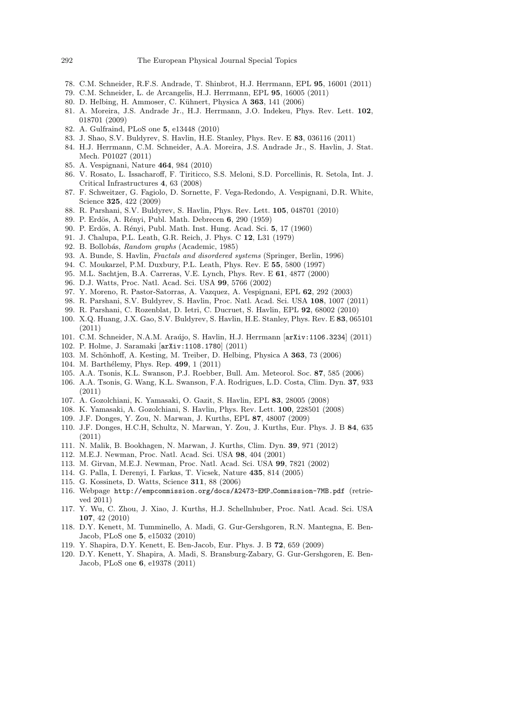- <span id="page-19-0"></span>78. C.M. Schneider, R.F.S. Andrade, T. Shinbrot, H.J. Herrmann, EPL 95, 16001 (2011)
- <span id="page-19-1"></span>79. C.M. Schneider, L. de Arcangelis, H.J. Herrmann, EPL 95, 16005 (2011)
- <span id="page-19-2"></span>80. D. Helbing, H. Ammoser, C. Kühnert, Physica A 363, 141 (2006)
- 81. A. Moreira, J.S. Andrade Jr., H.J. Herrmann, J.O. Indekeu, Phys. Rev. Lett. 102, 018701 (2009)
- 82. A. Gulfraind, PLoS one 5, e13448 (2010)
- <span id="page-19-13"></span>83. J. Shao, S.V. Buldyrev, S. Havlin, H.E. Stanley, Phys. Rev. E 83, 036116 (2011)
- <span id="page-19-3"></span>84. H.J. Herrmann, C.M. Schneider, A.A. Moreira, J.S. Andrade Jr., S. Havlin, J. Stat. Mech. P01027 (2011)
- <span id="page-19-4"></span>85. A. Vespignani, Nature 464, 984 (2010)
- <span id="page-19-5"></span>86. V. Rosato, L. Issacharoff, F. Tiriticco, S.S. Meloni, S.D. Porcellinis, R. Setola, Int. J. Critical Infrastructures 4, 63 (2008)
- <span id="page-19-6"></span>87. F. Schweitzer, G. Fagiolo, D. Sornette, F. Vega-Redondo, A. Vespignani, D.R. White, Science 325, 422 (2009)
- <span id="page-19-7"></span>88. R. Parshani, S.V. Buldyrev, S. Havlin, Phys. Rev. Lett. 105, 048701 (2010)
- <span id="page-19-8"></span>89. P. Erdös, A. Rényi, Publ. Math. Debrecen 6, 290 (1959)
- 90. P. Erdös, A. Rényi, Publ. Math. Inst. Hung. Acad. Sci. 5, 17 (1960)
- 91. J. Chalupa, P.L. Leath, G.R. Reich, J. Phys. C 12, L31 (1979)
- 92. B. Bollobás, Random graphs (Academic, 1985)
- 93. A. Bunde, S. Havlin, Fractals and disordered systems (Springer, Berlin, 1996)
- <span id="page-19-9"></span>94. C. Moukarzel, P.M. Duxbury, P.L. Leath, Phys. Rev. E 55, 5800 (1997)
- <span id="page-19-10"></span>95. M.L. Sachtjen, B.A. Carreras, V.E. Lynch, Phys. Rev. E 61, 4877 (2000)
- 96. D.J. Watts, Proc. Natl. Acad. Sci. USA 99, 5766 (2002)
- 97. Y. Moreno, R. Pastor-Satorras, A. Vazquez, A. Vespignani, EPL 62, 292 (2003)
- <span id="page-19-12"></span><span id="page-19-11"></span>98. R. Parshani, S.V. Buldyrev, S. Havlin, Proc. Natl. Acad. Sci. USA 108, 1007 (2011)
- 99. R. Parshani, C. Rozenblat, D. Ietri, C. Ducruet, S. Havlin, EPL 92, 68002 (2010)
- <span id="page-19-14"></span>100. X.Q. Huang, J.X. Gao, S.V. Buldyrev, S. Havlin, H.E. Stanley, Phys. Rev. E 83, 065101 (2011)
- 101. C.M. Schneider, N.A.M. Araújo, S. Havlin, H.J. Herrmann [arXiv:1106.3234] (2011)
- <span id="page-19-15"></span>102. P. Holme, J. Saramaki [arXiv:1108.1780] (2011)
- <span id="page-19-16"></span>103. M. Schönhoff, A. Kesting, M. Treiber, D. Helbing, Physica A 363, 73 (2006)
- <span id="page-19-17"></span>104. M. Barthélemy, Phys. Rep. 499, 1 (2011)
- <span id="page-19-18"></span>105. A.A. Tsonis, K.L. Swanson, P.J. Roebber, Bull. Am. Meteorol. Soc. 87, 585 (2006)
- 106. A.A. Tsonis, G. Wang, K.L. Swanson, F.A. Rodrigues, L.D. Costa, Clim. Dyn. 37, 933 (2011)
- 107. A. Gozolchiani, K. Yamasaki, O. Gazit, S. Havlin, EPL <sup>83</sup>, 28005 (2008)
- 108. K. Yamasaki, A. Gozolchiani, S. Havlin, Phys. Rev. Lett. 100, 228501 (2008)
- <span id="page-19-27"></span>109. J.F. Donges, Y. Zou, N. Marwan, J. Kurths, EPL 87, 48007 (2009)
- <span id="page-19-28"></span>110. J.F. Donges, H.C.H, Schultz, N. Marwan, Y. Zou, J. Kurths, Eur. Phys. J. B 84, 635 (2011)
- <span id="page-19-19"></span>111. N. Malik, B. Bookhagen, N. Marwan, J. Kurths, Clim. Dyn. 39, 971 (2012)
- <span id="page-19-20"></span>112. M.E.J. Newman, Proc. Natl. Acad. Sci. USA 98, 404 (2001)
- <span id="page-19-21"></span>113. M. Girvan, M.E.J. Newman, Proc. Natl. Acad. Sci. USA 99, 7821 (2002)
- <span id="page-19-22"></span>114. G. Palla, I. Derenyi, I. Farkas, T. Vicsek, Nature 435, 814 (2005)
- <span id="page-19-23"></span>115. G. Kossinets, D. Watts, Science 311, 88 (2006)
- <span id="page-19-24"></span>116. Webpage http://empcommission.org/docs/A2473-EMP Commission-7MB.pdf (retrieved 2011)
- <span id="page-19-25"></span>117. Y. Wu, C. Zhou, J. Xiao, J. Kurths, H.J. Schellnhuber, Proc. Natl. Acad. Sci. USA 107, 42 (2010)
- <span id="page-19-26"></span>118. D.Y. Kenett, M. Tumminello, A. Madi, G. Gur-Gershgoren, R.N. Mantegna, E. Ben-Jacob, PLoS one 5, e15032 (2010)
- 119. Y. Shapira, D.Y. Kenett, E. Ben-Jacob, Eur. Phys. J. B 72, 659 (2009)
- <span id="page-19-29"></span>120. D.Y. Kenett, Y. Shapira, A. Madi, S. Bransburg-Zabary, G. Gur-Gershgoren, E. Ben-Jacob, PLoS one 6, e19378 (2011)